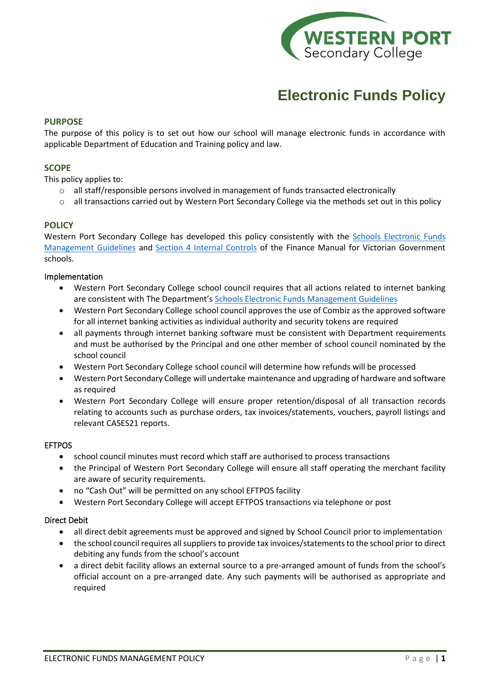

# **Electronic Funds Policy**

### **PURPOSE**

The purpose of this policy is to set out how our school will manage electronic funds in accordance with applicable Department of Education and Training policy and law.

### **SCOPE**

This policy applies to:

- o all staff/responsible persons involved in management of funds transacted electronically
- o all transactions carried out by Western Port Secondary College via the methods set out in this policy

## **POLICY**

Western Port Secondary College has developed this policy consistently with the Schools Electronic Funds [Management Guidelines](http://www.education.vic.gov.au/Documents/school/principals/finance/Fin%20Schools%20Electronic%20Funds%20Management%20Guidelines%20V1_2.pdf) and [Section 4 Internal Controls](https://www2.education.vic.gov.au/pal/internal-controls-finance-manual-section-4/policy) of the Finance Manual for Victorian Government schools.

#### Implementation

- Western Port Secondary College school council requires that all actions related to internet banking are consistent with The Department's [Schools Electronic Funds Management Guidelines](http://www.education.vic.gov.au/Documents/school/principals/finance/Fin%20Schools%20Electronic%20Funds%20Management%20Guidelines%20V1_2.pdf)
- Western Port Secondary College school council approves the use of Combiz as the approved software for all internet banking activities as individual authority and security tokens are required
- all payments through internet banking software must be consistent with Department requirements and must be authorised by the Principal and one other member of school council nominated by the school council
- Western Port Secondary College school council will determine how refunds will be processed
- Western Port Secondary College will undertake maintenance and upgrading of hardware and software as required
- Western Port Secondary College will ensure proper retention/disposal of all transaction records relating to accounts such as purchase orders, tax invoices/statements, vouchers, payroll listings and relevant CASES21 reports.

#### EFTPOS

- school council minutes must record which staff are authorised to process transactions
- the Principal of Western Port Secondary College will ensure all staff operating the merchant facility are aware of security requirements.
- no "Cash Out" will be permitted on any school EFTPOS facility
- Western Port Secondary College will accept EFTPOS transactions via telephone or post

#### Direct Debit

- all direct debit agreements must be approved and signed by School Council prior to implementation
- the school council requires all suppliers to provide tax invoices/statements to the school prior to direct debiting any funds from the school's account
- a direct debit facility allows an external source to a pre-arranged amount of funds from the school's official account on a pre-arranged date. Any such payments will be authorised as appropriate and required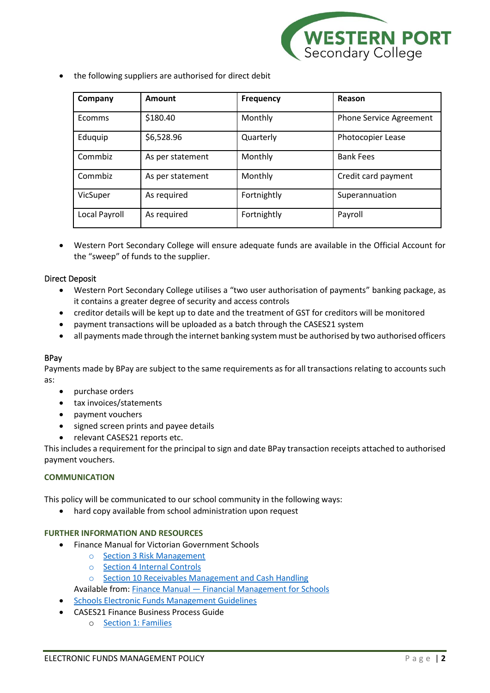

the following suppliers are authorised for direct debit

| Company       | Amount           | <b>Frequency</b> | Reason                         |
|---------------|------------------|------------------|--------------------------------|
| Ecomms        | \$180.40         | Monthly          | <b>Phone Service Agreement</b> |
| Eduquip       | \$6,528.96       | Quarterly        | Photocopier Lease              |
| Commbiz       | As per statement | Monthly          | <b>Bank Fees</b>               |
| Commbiz       | As per statement | Monthly          | Credit card payment            |
| VicSuper      | As required      | Fortnightly      | Superannuation                 |
| Local Payroll | As required      | Fortnightly      | Payroll                        |

• Western Port Secondary College will ensure adequate funds are available in the Official Account for the "sweep" of funds to the supplier.

#### Direct Deposit

- Western Port Secondary College utilises a "two user authorisation of payments" banking package, as it contains a greater degree of security and access controls
- creditor details will be kept up to date and the treatment of GST for creditors will be monitored
- payment transactions will be uploaded as a batch through the CASES21 system
- all payments made through the internet banking system must be authorised by two authorised officers

#### BPay

Payments made by BPay are subject to the same requirements as for all transactions relating to accounts such as:

- purchase orders
- tax invoices/statements
- payment vouchers
- signed screen prints and payee details
- relevant CASES21 reports etc.

This includes a requirement for the principal to sign and date BPay transaction receipts attached to authorised payment vouchers.

#### **COMMUNICATION**

This policy will be communicated to our school community in the following ways:

hard copy available from school administration upon request

#### **FURTHER INFORMATION AND RESOURCES**

- Finance Manual for Victorian Government Schools
	- o [Section 3 Risk Management](https://www2.education.vic.gov.au/pal/risk-management-finance-manual-section-3/policy)
	- o [Section 4 Internal Controls](https://www2.education.vic.gov.au/pal/internal-controls-finance-manual-section-4/policy)
	- o [Section 10 Receivables Management and Cash Handling](https://www2.education.vic.gov.au/pal/receivables-management-and-cash-handling-finance-manual-section-10/policy)
	- Available from: Finance Manual [Financial Management for Schools](https://www2.education.vic.gov.au/pal/finance-manual/policy)
- [Schools Electronic Funds Management Guidelines](http://www.education.vic.gov.au/Documents/school/principals/finance/Fin%20Schools%20Electronic%20Funds%20Management%20Guidelines%20V1_2.pdf)
- CASES21 Finance Business Process Guide
	- o [Section 1: Families](https://edugate.eduweb.vic.gov.au/edulibrary/Schools/Forms/AllItems.aspx?RootFolder=%2fedulibrary%2fSchools%2fCASES21%2fCASES21%20Finance%2fFinance%20Business%20Process%20Guide&FolderCTID=&View=%7b393E28AF%2d9188%2d49EC%2d9B2F%2d5B1CA6BF217D%7d)